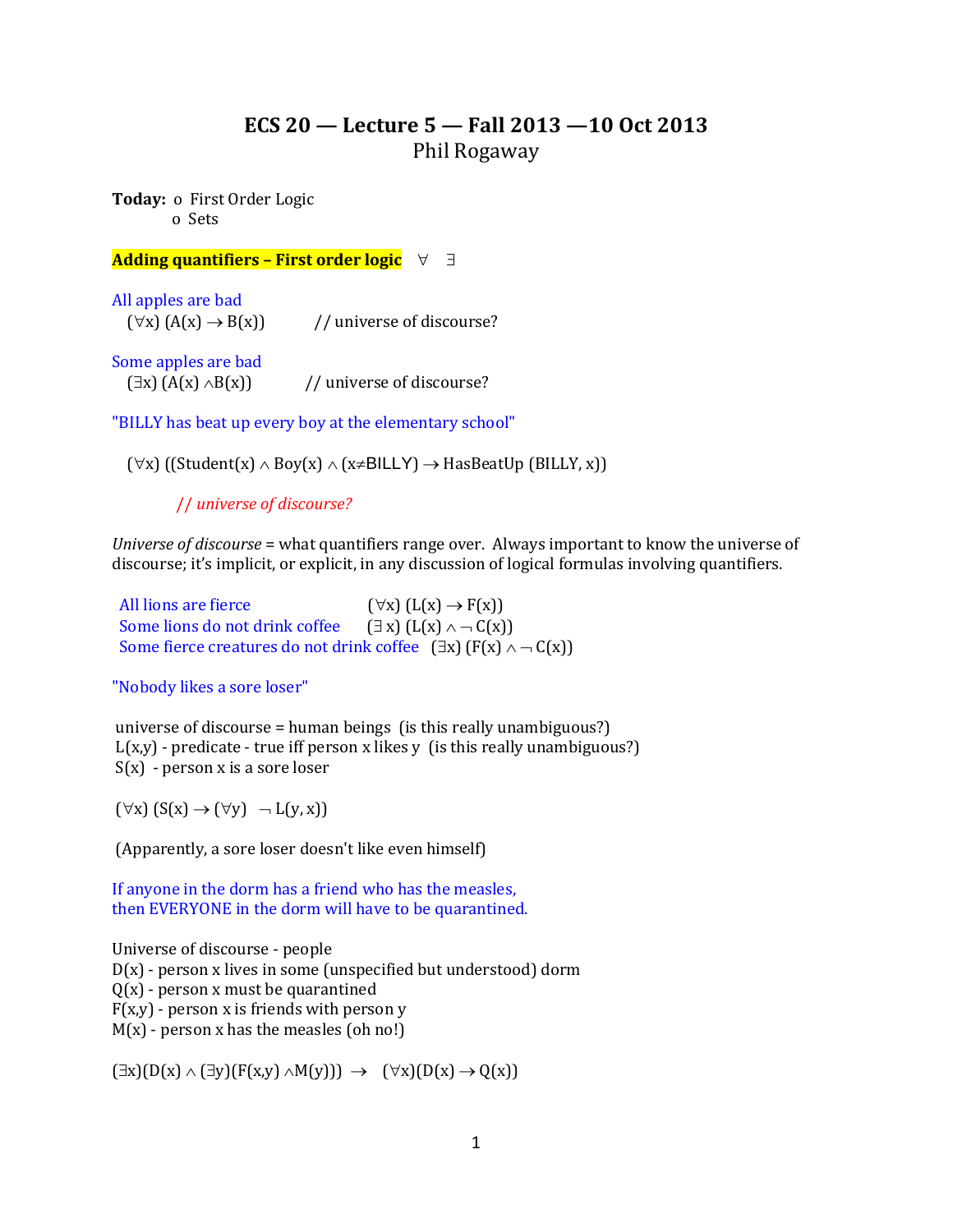# **ECS 20 — Lecture 5 — Fall 2013 —10 Oct 2013** Phil Rogaway

**Today:** o First Order Logic o Sets

## **Adding quantifiers – First order logic**

All apples are bad  $(\forall x) (A(x) \rightarrow B(x))$  // universe of discourse?

Some apples are bad  $(\exists x) (A(x) \land B(x))$  // universe of discourse?

"BILLY has beat up every boy at the elementary school"

 $(\forall x)$  ((Student(x)  $\land$  Boy(x)  $\land$  (x=BILLY)  $\rightarrow$  HasBeatUp (BILLY, x))

// *universe of discourse?*

*Universe of discourse* = what quantifiers range over. Always important to know the universe of discourse; it's implicit, or explicit, in any discussion of logical formulas involving quantifiers.

| All lions are fierce                                                           | $(\forall x)$ $(L(x) \rightarrow F(x))$ |
|--------------------------------------------------------------------------------|-----------------------------------------|
| Some lions do not drink coffee $(\exists x) (L(x) \land \neg C(x))$            |                                         |
| Some fierce creatures do not drink coffee $(\exists x) (F(x) \land \neg C(x))$ |                                         |

"Nobody likes a sore loser"

universe of discourse = human beings (is this really unambiguous?)  $L(x,y)$  - predicate - true iff person x likes y (is this really unambiguous?)  $S(x)$  - person x is a sore loser

 $(\forall x) (S(x) \rightarrow (\forall y) \neg L(y, x))$ 

(Apparently, a sore loser doesn't like even himself)

If anyone in the dorm has a friend who has the measles, then EVERYONE in the dorm will have to be quarantined.

Universe of discourse - people D(x) - person x lives in some (unspecified but understood) dorm  $Q(x)$  - person x must be quarantined  $F(x,y)$  - person x is friends with person y  $M(x)$  - person x has the measles (oh no!)

 $(\exists x)(D(x) \land (\exists y)(F(x,y) \land M(y))) \rightarrow (\forall x)(D(x) \rightarrow Q(x))$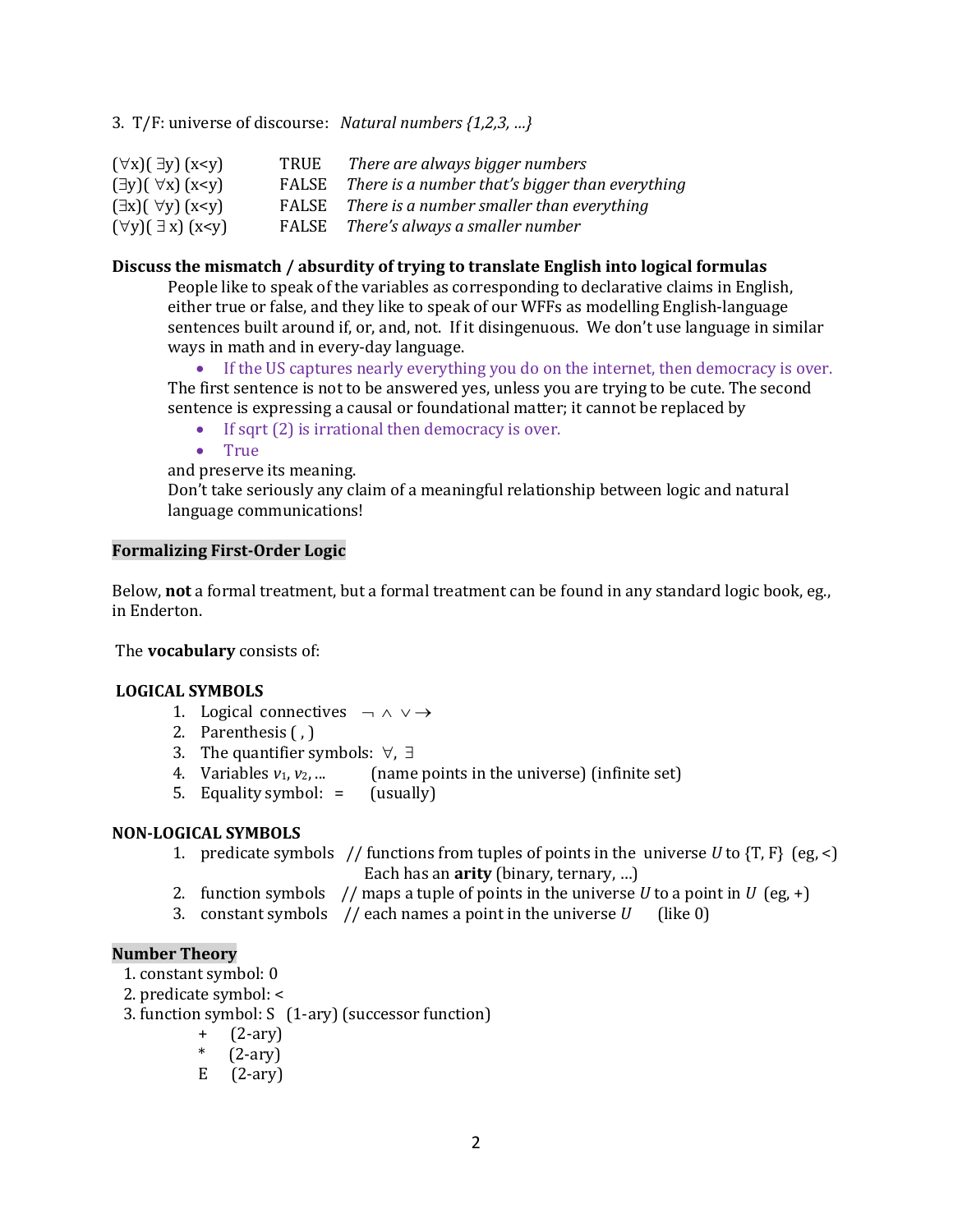3. T/F: universe of discourse: *Natural numbers {1,2,3, …}*

| $(\forall x)(\exists y)(x\leq y)$   | TRUE | There are always bigger numbers                       |
|-------------------------------------|------|-------------------------------------------------------|
| $(\exists y)(\forall x)(x \prec y)$ |      | FALSE There is a number that's bigger than everything |
| $(\exists x)(\forall y)(x\leq y)$   |      | FALSE There is a number smaller than everything       |
| $(\forall y)(\exists x)(x \leq y)$  |      | FALSE There's always a smaller number                 |

## **Discuss the mismatch / absurdity of trying to translate English into logical formulas**

People like to speak of the variables as corresponding to declarative claims in English, either true or false, and they like to speak of our WFFs as modelling English-language sentences built around if, or, and, not. If it disingenuous. We don't use language in similar ways in math and in every-day language.

 If the US captures nearly everything you do on the internet, then democracy is over. The first sentence is not to be answered yes, unless you are trying to be cute. The second sentence is expressing a causal or foundational matter; it cannot be replaced by

- $\bullet$  If sqrt (2) is irrational then democracy is over.
- True

and preserve its meaning.

Don't take seriously any claim of a meaningful relationship between logic and natural language communications!

### **Formalizing First-Order Logic**

Below, **not** a formal treatment, but a formal treatment can be found in any standard logic book, eg., in Enderton.

The **vocabulary** consists of:

## **LOGICAL SYMBOLS**

- 1. Logical connectives  $\neg \wedge \vee \rightarrow$
- 2. Parenthesis ( , )
- 3. The quantifier symbols:  $\forall$ ,  $\exists$
- 4. Variables  $v_1, v_2, ...$  (name points in the universe) (infinite set)
- 5. Equality symbol: = (usually)

### **NON-LOGICAL SYMBOLS**

- 1. predicate symbols // functions from tuples of points in the universe  $U$  to  $\{T, F\}$  (eg, <) Each has an **arity** (binary, ternary, …)
- 2. function symbols // maps a tuple of points in the universe *U* to a point in *U* (eg, +)
- 3. constant symbols // each names a point in the universe *U* (like 0)

### **Number Theory**

- 1. constant symbol: 0
- 2. predicate symbol: <
- 3. function symbol: S (1-ary) (successor function)
	- + (2-ary)
	- $*(2-ary)$
	- $E$  (2-ary)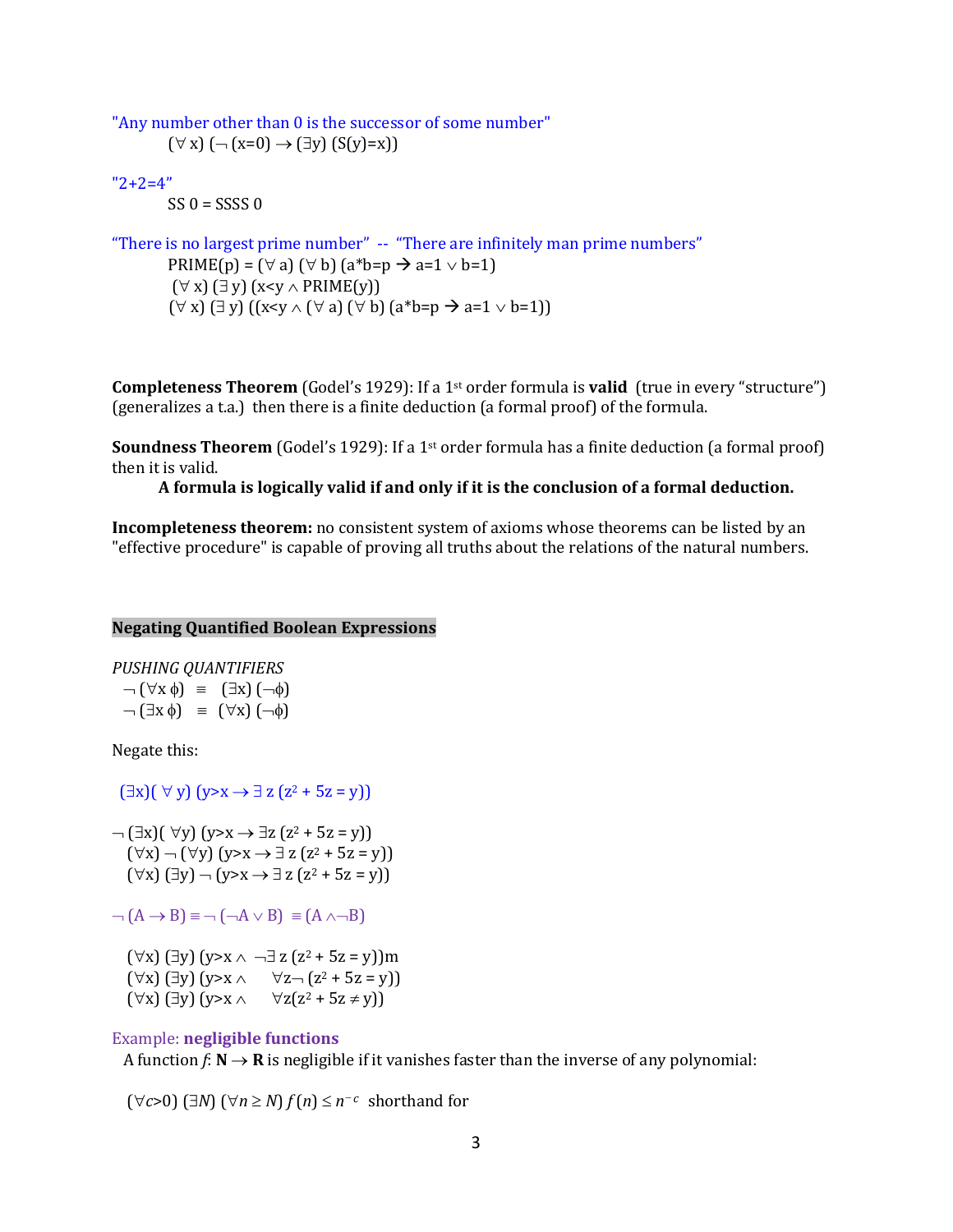```
"Any number other than 0 is the successor of some number"
(\forall x) (\neg (x=0) \rightarrow (\exists y) (S(y)=x))
```

```
"2+2=4"
```
 $SS 0 = SSSS 0$ 

```
"There is no largest prime number" -- "There are infinitely man prime numbers"
 PRIME(p) = (\forall a) (\forall b) (a^*b=p \rightarrow a=1 \lor b=1)(\forall x) (\exists y) (x < y \land PRIME(y))
 (\forall x) (\exists y) ((x \leq y \land (\forall a) (\forall b) (a * b = p \rightarrow a = 1 \lor b = 1))
```
**Completeness Theorem** (Godel's 1929): If a 1st order formula is **valid** (true in every "structure") (generalizes a t.a.) then there is a finite deduction (a formal proof) of the formula.

**Soundness Theorem** (Godel's 1929): If a 1st order formula has a finite deduction (a formal proof) then it is valid.

**A formula is logically valid if and only if it is the conclusion of a formal deduction.**

**Incompleteness theorem:** no consistent system of axioms whose theorems can be listed by an "effective procedure" is capable of proving all truths about the relations of the natural numbers.

#### **Negating Quantified Boolean Expressions**

*PUSHING QUANTIFIERS*

 $\neg$   $(\forall x \phi) = (\exists x) (-\phi)$  $\neg \left( \exists x \phi \right) = (\forall x) \left( \neg \phi \right)$ 

Negate this:

 $(\exists x)( \forall y)(y>x \rightarrow \exists z (z^2 + 5z = y))$ 

 $\neg$  ( $\exists$ x)( $\forall$ y) (y>x  $\rightarrow$   $\exists$ z (z<sup>2</sup> + 5z = y))  $(\forall x)$   $\neg$   $(\forall y)$   $(y \rightarrow x \rightarrow \exists z (z^2 + 5z = y))$  $(\forall x)$   $(\exists y)$   $\neg$   $(y \rightarrow x \rightarrow \exists z$   $(z^2 + 5z = y))$ 

 $(A \rightarrow B) \equiv \neg (\neg A \vee B) \equiv (A \wedge \neg B)$ 

 $(\forall x)$  ( $\exists y$ ) ( $y \ge x \land \neg \exists z$  ( $z^2 + 5z = y$ ))m  $(\forall x)$  (3y)  $(y \rightarrow x \land \forall z \rightarrow (z^2 + 5z = y))$  $(\forall x)$  ( $\exists y$ ) ( $y > x \land \forall z(z^2 + 5z \neq y)$ )

#### Example: **negligible functions**

A function  $f: \mathbb{N} \to \mathbb{R}$  is negligible if it vanishes faster than the inverse of any polynomial:

 $(\forall c > 0)$   $(\exists N)$   $(\forall n \ge N)$   $f(n) \le n^{-c}$  shorthand for